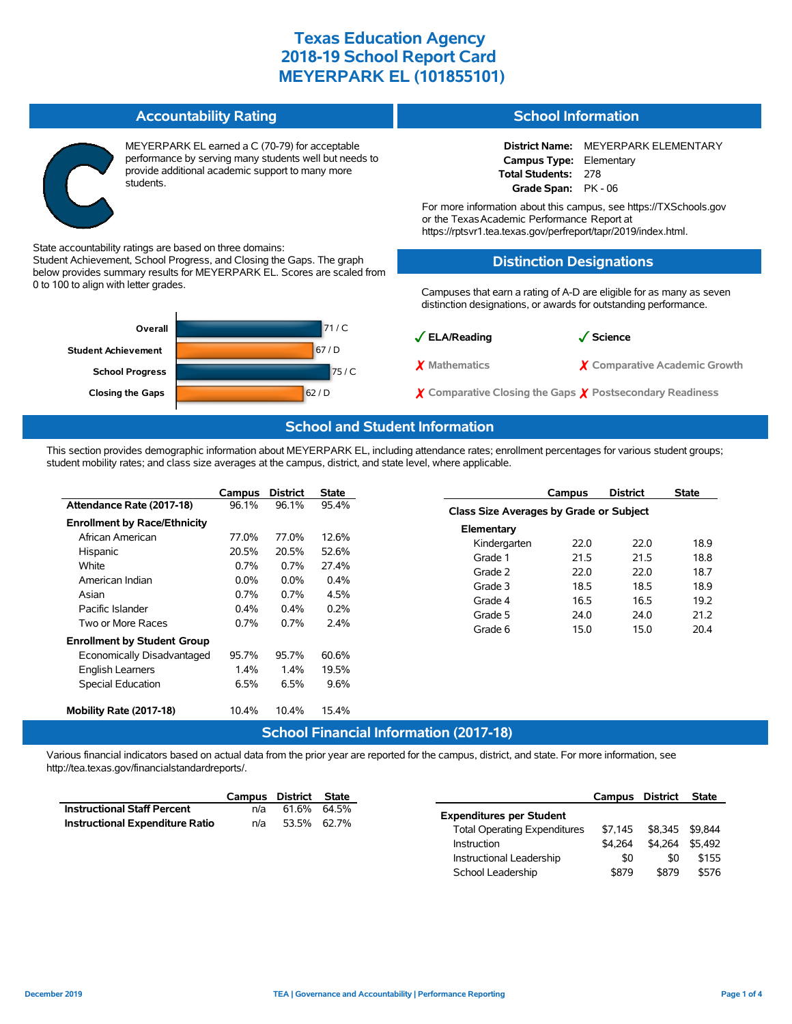**Accountability Rating** MEYERPARK EL earned a C (70-79) for acceptable performance by serving many students well but needs to provide additional academic support to many more students. State accountability ratings are based on three domains: Student Achievement, School Progress, and Closing the Gaps. The graph below provides summary results for MEYERPARK EL. Scores are scaled from 0 to 100 to align with letter grades. 71 / C 67 / D 75 / C **Closing the Gaps** 62 / D **School Progress Student Achievement Overall School Information District Name:** MEYERPARK ELEMENTARY **Campus Type:** Elementary **Total Students:** 278 **Grade Span:** PK - 06 For more information about this campus, see https://TXSchools.gov or the TexasAcademic Performance Report at https://rptsvr1.tea.texas.gov/perfreport/tapr/2019/index.html. **Distinction Designations** Campuses that earn a rating of A-D are eligible for as many as seven distinction designations, or awards for outstanding performance. ✓**ELA/Reading** ✓**Science** ✗ **Mathematics** ✗ **Comparative Academic Growth** ✗ **Comparative Closing the Gaps** ✗ **Postsecondary Readiness**

#### **School and Student Information**

This section provides demographic information about MEYERPARK EL, including attendance rates; enrollment percentages for various student groups; student mobility rates; and class size averages at the campus, district, and state level, where applicable.

|                                                                                                          | Campus                                    | <b>District</b>                           | State                                   |                                                             | Campus                                  | <b>District</b>              | <b>State</b>                 |  |  |  |  |
|----------------------------------------------------------------------------------------------------------|-------------------------------------------|-------------------------------------------|-----------------------------------------|-------------------------------------------------------------|-----------------------------------------|------------------------------|------------------------------|--|--|--|--|
| Attendance Rate (2017-18)                                                                                | 96.1%                                     | 96.1%                                     | 95.4%                                   |                                                             | Class Size Averages by Grade or Subject |                              |                              |  |  |  |  |
| <b>Enrollment by Race/Ethnicity</b><br>African American<br>Hispanic<br>White<br>American Indian<br>Asian | 77.0%<br>20.5%<br>0.7%<br>$0.0\%$<br>0.7% | 77.0%<br>20.5%<br>0.7%<br>$0.0\%$<br>0.7% | 12.6%<br>52.6%<br>27.4%<br>0.4%<br>4.5% | Elementary<br>Kindergarten<br>Grade 1<br>Grade 2<br>Grade 3 | 22.0<br>21.5<br>22.0<br>18.5            | 22.0<br>21.5<br>22.0<br>18.5 | 18.9<br>18.8<br>18.7<br>18.9 |  |  |  |  |
| Pacific Islander<br>Two or More Races<br><b>Enrollment by Student Group</b>                              | $0.4\%$<br>$0.7\%$                        | 0.4%<br>0.7%                              | 0.2%<br>2.4%                            | Grade 4<br>Grade 5<br>Grade 6                               | 16.5<br>24.0<br>15.0                    | 16.5<br>24.0<br>15.0         | 19.2<br>21.2<br>20.4         |  |  |  |  |
| Economically Disadvantaged<br>English Learners<br><b>Special Education</b>                               | 95.7%<br>1.4%<br>6.5%                     | 95.7%<br>1.4%<br>6.5%                     | 60.6%<br>19.5%<br>9.6%                  |                                                             |                                         |                              |                              |  |  |  |  |
| Mobility Rate (2017-18)                                                                                  | 10.4%                                     | 10.4%                                     | 15.4%                                   |                                                             |                                         |                              |                              |  |  |  |  |
| <b>School Financial Information (2017-18)</b>                                                            |                                           |                                           |                                         |                                                             |                                         |                              |                              |  |  |  |  |

Various financial indicators based on actual data from the prior year are reported for the campus, district, and state. For more information, see http://tea.texas.gov/financialstandardreports/.

|                                    |                    | Campus District State |             | Campus                                         | District        | <b>State</b> |
|------------------------------------|--------------------|-----------------------|-------------|------------------------------------------------|-----------------|--------------|
| <b>Instructional Staff Percent</b> | n/a                |                       | 61.6% 64.5% | <b>Expenditures per Student</b>                |                 |              |
| Instructional Expenditure Ratio    | 53.5% 62.7%<br>n/a |                       |             | \$7.145<br><b>Total Operating Expenditures</b> | \$8,345 \$9,844 |              |
|                                    |                    |                       |             | \$4.264<br>Instruction                         | \$4,264 \$5,492 |              |
|                                    |                    |                       |             | Instructional Leadership                       | \$0<br>\$0      | \$155        |

School Leadership  $$879$  \$879 \$576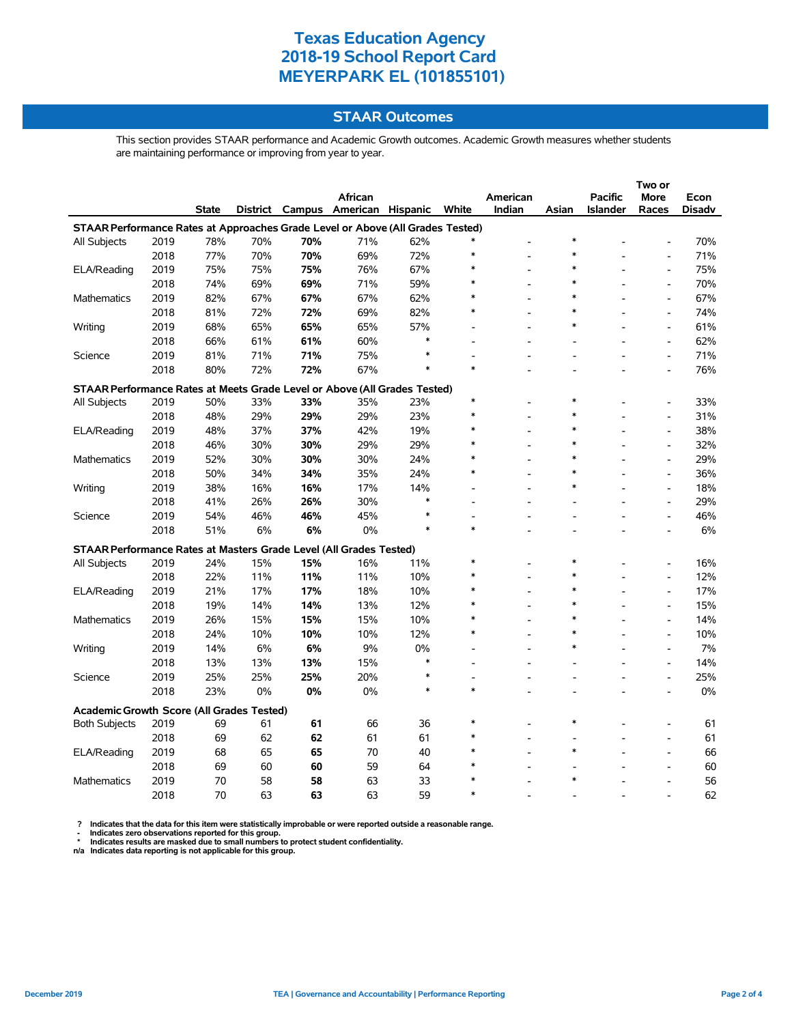#### **STAAR Outcomes**

This section provides STAAR performance and Academic Growth outcomes. Academic Growth measures whether students are maintaining performance or improving from year to year.

|                                                                                |      |              |     |     | African                           |        |        | American |        | <b>Pacific</b>  | <b>More</b>                  | Econ          |
|--------------------------------------------------------------------------------|------|--------------|-----|-----|-----------------------------------|--------|--------|----------|--------|-----------------|------------------------------|---------------|
|                                                                                |      | <b>State</b> |     |     | District Campus American Hispanic |        | White  | Indian   | Asian  | <b>Islander</b> | Races                        | <b>Disadv</b> |
| STAAR Performance Rates at Approaches Grade Level or Above (All Grades Tested) |      |              |     |     |                                   |        |        |          |        |                 |                              |               |
| All Subjects                                                                   | 2019 | 78%          | 70% | 70% | 71%                               | 62%    |        |          | $\ast$ |                 |                              | 70%           |
|                                                                                | 2018 | 77%          | 70% | 70% | 69%                               | 72%    |        |          | $\ast$ |                 |                              | 71%           |
| ELA/Reading                                                                    | 2019 | 75%          | 75% | 75% | 76%                               | 67%    | $\ast$ |          | *      |                 | $\overline{a}$               | 75%           |
|                                                                                | 2018 | 74%          | 69% | 69% | 71%                               | 59%    |        |          | *      |                 | $\overline{a}$               | 70%           |
| <b>Mathematics</b>                                                             | 2019 | 82%          | 67% | 67% | 67%                               | 62%    |        |          | $\ast$ |                 | $\overline{a}$               | 67%           |
|                                                                                | 2018 | 81%          | 72% | 72% | 69%                               | 82%    |        |          | *      |                 | $\overline{a}$               | 74%           |
| Writing                                                                        | 2019 | 68%          | 65% | 65% | 65%                               | 57%    |        |          | $\ast$ |                 | $\overline{a}$               | 61%           |
|                                                                                | 2018 | 66%          | 61% | 61% | 60%                               | $\ast$ |        |          |        |                 | $\overline{a}$               | 62%           |
| Science                                                                        | 2019 | 81%          | 71% | 71% | 75%                               | $\ast$ |        |          |        |                 | $\overline{a}$               | 71%           |
|                                                                                | 2018 | 80%          | 72% | 72% | 67%                               | $\ast$ |        |          |        |                 |                              | 76%           |
| STAAR Performance Rates at Meets Grade Level or Above (All Grades Tested)      |      |              |     |     |                                   |        |        |          |        |                 |                              |               |
| All Subjects                                                                   | 2019 | 50%          | 33% | 33% | 35%                               | 23%    | $\ast$ |          | *      |                 | $\overline{a}$               | 33%           |
|                                                                                | 2018 | 48%          | 29% | 29% | 29%                               | 23%    | $\ast$ |          | *      |                 | $\overline{a}$               | 31%           |
| ELA/Reading                                                                    | 2019 | 48%          | 37% | 37% | 42%                               | 19%    |        |          | $\ast$ |                 | L,                           | 38%           |
|                                                                                | 2018 | 46%          | 30% | 30% | 29%                               | 29%    |        |          | $\ast$ |                 | $\overline{a}$               | 32%           |
| <b>Mathematics</b>                                                             | 2019 | 52%          | 30% | 30% | 30%                               | 24%    |        |          | $\ast$ |                 | $\overline{a}$               | 29%           |
|                                                                                | 2018 | 50%          | 34% | 34% | 35%                               | 24%    |        |          | $\ast$ |                 | $\qquad \qquad \blacksquare$ | 36%           |
| Writing                                                                        | 2019 | 38%          | 16% | 16% | 17%                               | 14%    |        |          | $\ast$ |                 | $\overline{a}$               | 18%           |
|                                                                                | 2018 | 41%          | 26% | 26% | 30%                               | $\ast$ |        |          |        |                 | $\overline{a}$               | 29%           |
| Science                                                                        | 2019 | 54%          | 46% | 46% | 45%                               | $\ast$ |        |          |        |                 | $\overline{\phantom{a}}$     | 46%           |
|                                                                                | 2018 | 51%          | 6%  | 6%  | 0%                                | $\ast$ | $\ast$ |          |        |                 |                              | 6%            |
| STAAR Performance Rates at Masters Grade Level (All Grades Tested)             |      |              |     |     |                                   |        |        |          |        |                 |                              |               |
| All Subjects                                                                   | 2019 | 24%          | 15% | 15% | 16%                               | 11%    |        |          | $\ast$ |                 |                              | 16%           |
|                                                                                | 2018 | 22%          | 11% | 11% | 11%                               | 10%    |        |          | $\ast$ |                 | $\overline{a}$               | 12%           |
| ELA/Reading                                                                    | 2019 | 21%          | 17% | 17% | 18%                               | 10%    |        |          | $\ast$ |                 | $\overline{a}$               | 17%           |
|                                                                                | 2018 | 19%          | 14% | 14% | 13%                               | 12%    |        |          | $\ast$ |                 | $\overline{a}$               | 15%           |
| Mathematics                                                                    | 2019 | 26%          | 15% | 15% | 15%                               | 10%    |        |          | $\ast$ |                 | $\overline{a}$               | 14%           |
|                                                                                | 2018 | 24%          | 10% | 10% | 10%                               | 12%    |        |          | $\ast$ |                 | $\overline{a}$               | 10%           |
| Writing                                                                        | 2019 | 14%          | 6%  | 6%  | 9%                                | 0%     |        |          | $\ast$ |                 | $\overline{a}$               | 7%            |
|                                                                                | 2018 | 13%          | 13% | 13% | 15%                               | $\ast$ |        |          |        |                 | $\overline{a}$               | 14%           |
| Science                                                                        | 2019 | 25%          | 25% | 25% | 20%                               | $\ast$ |        |          |        |                 | $\overline{a}$               | 25%           |
|                                                                                | 2018 | 23%          | 0%  | 0%  | 0%                                | $\ast$ | $\ast$ |          |        |                 |                              | 0%            |
| Academic Growth Score (All Grades Tested)                                      |      |              |     |     |                                   |        |        |          |        |                 |                              |               |
| <b>Both Subjects</b>                                                           | 2019 | 69           | 61  | 61  | 66                                | 36     |        |          | $\ast$ |                 |                              | 61            |
|                                                                                | 2018 | 69           | 62  | 62  | 61                                | 61     |        |          |        |                 | $\overline{a}$               | 61            |
| ELA/Reading                                                                    | 2019 | 68           | 65  | 65  | 70                                | 40     |        |          | $\ast$ |                 |                              | 66            |
|                                                                                | 2018 | 69           | 60  | 60  | 59                                | 64     |        |          |        |                 |                              | 60            |
| <b>Mathematics</b>                                                             | 2019 | 70           | 58  | 58  | 63                                | 33     |        |          |        |                 |                              | 56            |
|                                                                                | 2018 | 70           | 63  | 63  | 63                                | 59     | $\ast$ |          |        |                 |                              | 62            |

? Indicates that the data for this item were statistically improbable or were reported outside a reasonable range.<br>- Indicates zero observations reported for this group.<br>\* Indicates results are masked due to small numbers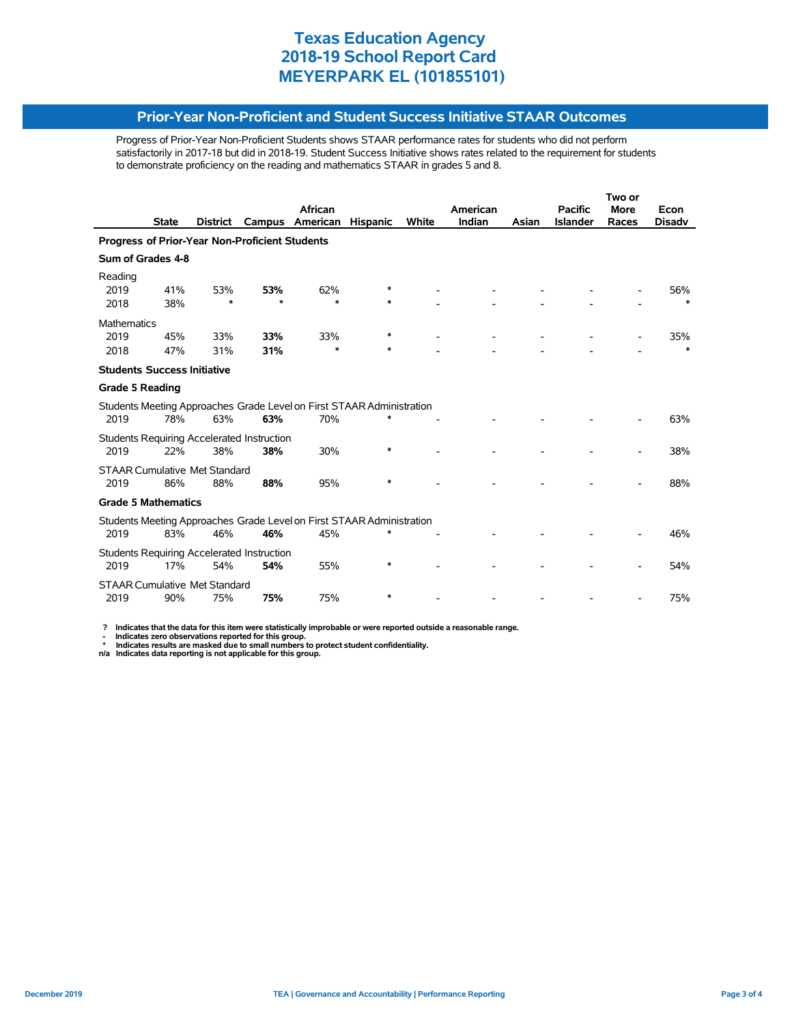#### **Prior-Year Non-Proficient and Student Success Initiative STAAR Outcomes**

Progress of Prior-Year Non-Proficient Students shows STAAR performance rates for students who did not perform satisfactorily in 2017-18 but did in 2018-19. Student Success Initiative shows rates related to the requirement for students to demonstrate proficiency on the reading and mathematics STAAR in grades 5 and 8.

|                                                                       |              |          |                                                          | African                                                               |                 |       | American |       | <b>Pacific</b>  | <b>More</b> | Econ          |  |
|-----------------------------------------------------------------------|--------------|----------|----------------------------------------------------------|-----------------------------------------------------------------------|-----------------|-------|----------|-------|-----------------|-------------|---------------|--|
|                                                                       | <b>State</b> | District | Campus                                                   | American                                                              | <b>Hispanic</b> | White | Indian   | Asian | <b>Islander</b> | Races       | <b>Disadv</b> |  |
| <b>Progress of Prior-Year Non-Proficient Students</b>                 |              |          |                                                          |                                                                       |                 |       |          |       |                 |             |               |  |
| Sum of Grades 4-8                                                     |              |          |                                                          |                                                                       |                 |       |          |       |                 |             |               |  |
| Reading<br>2019                                                       | 41%          | 53%      | 53%                                                      | 62%                                                                   | *               |       |          |       |                 |             | 56%           |  |
| 2018                                                                  | 38%          | $\ast$   | $\star$                                                  | $\ast$                                                                | $\ast$          |       |          |       |                 |             | $\ast$        |  |
| <b>Mathematics</b>                                                    |              |          |                                                          |                                                                       |                 |       |          |       |                 |             |               |  |
| 2019                                                                  | 45%          | 33%      | 33%                                                      | 33%                                                                   | *               |       |          |       |                 |             | 35%           |  |
| 2018                                                                  | 47%          | 31%      | 31%                                                      | $\ast$                                                                | $\ast$          |       |          |       |                 |             | $\ast$        |  |
| <b>Students Success Initiative</b>                                    |              |          |                                                          |                                                                       |                 |       |          |       |                 |             |               |  |
| <b>Grade 5 Reading</b>                                                |              |          |                                                          |                                                                       |                 |       |          |       |                 |             |               |  |
|                                                                       |              |          |                                                          | Students Meeting Approaches Grade Level on First STAAR Administration |                 |       |          |       |                 |             |               |  |
| 2019                                                                  | 78%          | 63%      | 63%                                                      | 70%                                                                   | $\ast$          |       |          |       |                 |             | 63%           |  |
|                                                                       |              |          | Students Requiring Accelerated Instruction               |                                                                       |                 |       |          |       |                 |             |               |  |
| 2019                                                                  | 22%          | 38%      | 38%                                                      | 30%                                                                   | $\ast$          |       |          |       |                 |             | 38%           |  |
| <b>STAAR Cumulative Met Standard</b>                                  |              |          |                                                          |                                                                       |                 |       |          |       |                 |             |               |  |
| 2019                                                                  | 86%          | 88%      | 88%                                                      | 95%                                                                   | $\ast$          |       |          |       |                 |             | 88%           |  |
| <b>Grade 5 Mathematics</b>                                            |              |          |                                                          |                                                                       |                 |       |          |       |                 |             |               |  |
| Students Meeting Approaches Grade Level on First STAAR Administration |              |          |                                                          |                                                                       |                 |       |          |       |                 |             |               |  |
| 2019                                                                  | 83%          | 46%      | 46%                                                      | 45%                                                                   | $\ast$          |       |          |       |                 |             | 46%           |  |
| 2019                                                                  | 17%          | 54%      | <b>Students Requiring Accelerated Instruction</b><br>54% | 55%                                                                   | $\ast$          |       |          |       |                 |             | 54%           |  |
|                                                                       |              |          |                                                          |                                                                       |                 |       |          |       |                 |             |               |  |
| <b>STAAR Cumulative Met Standard</b><br>2019                          | 90%          | 75%      | 75%                                                      | 75%                                                                   | $\ast$          |       |          |       |                 |             | 75%           |  |

 **? Indicates that the data for this item were statistically improbable or were reported outside a reasonable range.**

- Indicates zero observations reported for this group.<br>\* Indicates results are masked due to small numbers to protect student confidentiality.<br>n/a Indicates data reporting is not applicable for this group.

l,